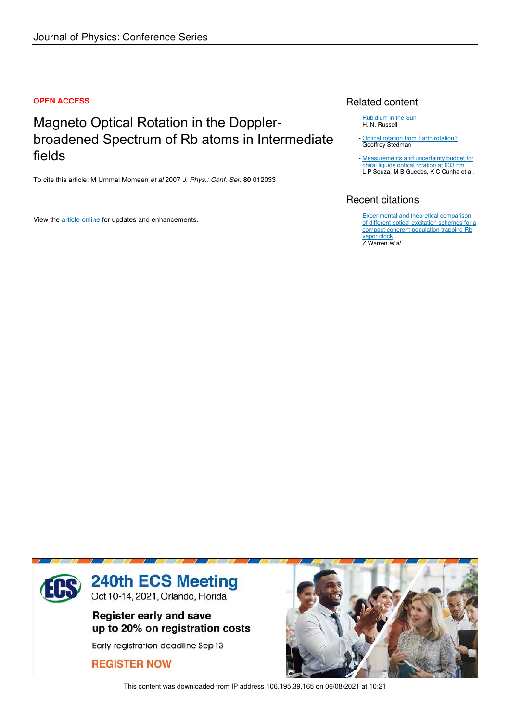# **OPEN ACCESS**

Magneto Optical Rotation in the Dopplerbroadened Spectrum of Rb atoms in Intermediate fields

To cite this article: M Ummal Momeen *et al* 2007 *J. Phys.: Conf. Ser.* **80** 012033

View the article online for updates and enhancements.

# Related content

- Rubidium in the Sun H. N. Russell
- Optical rotation from Earth rotation? Geoffrey Stedman

- **Measurements and uncertainty budget for** chiral liquids optical rotation at 633 nm L P Souza, M B Guedes, K C Cunha et al.

# Recent citations

- **Experimental and theoretical comparison** of different optical excitation schemes for a compact coherent population trapping Rb vapor clock

Z Warren *et al*



This content was downloaded from IP address 106.195.39.165 on 06/08/2021 at 10:21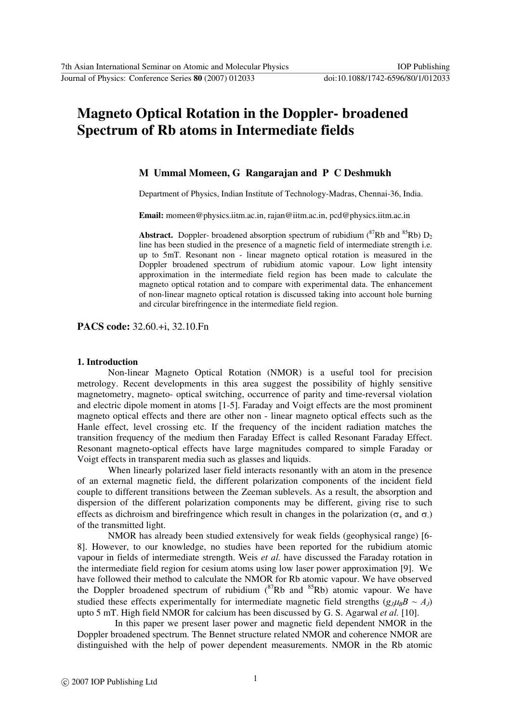# **Magneto Optical Rotation in the Doppler- broadened Spectrum of Rb atoms in Intermediate fields**

# **M Ummal Momeen, G Rangarajan and P C Deshmukh**

Department of Physics, Indian Institute of Technology-Madras, Chennai-36, India.

**Email:** momeen@physics.iitm.ac.in, rajan@iitm.ac.in, pcd@physics.iitm.ac.in

**Abstract.** Doppler- broadened absorption spectrum of rubidium ( ${}^{87}Rb$  and  ${}^{85}Rb$ )  $D_2$ line has been studied in the presence of a magnetic field of intermediate strength i.e. up to 5mT. Resonant non - linear magneto optical rotation is measured in the Doppler broadened spectrum of rubidium atomic vapour. Low light intensity approximation in the intermediate field region has been made to calculate the magneto optical rotation and to compare with experimental data. The enhancement of non-linear magneto optical rotation is discussed taking into account hole burning and circular birefringence in the intermediate field region.

**PACS code:** 32.60.+i, 32.10.Fn

# **1. Introduction**

Non-linear Magneto Optical Rotation (NMOR) is a useful tool for precision metrology. Recent developments in this area suggest the possibility of highly sensitive magnetometry, magneto- optical switching, occurrence of parity and time-reversal violation and electric dipole moment in atoms [1-5]. Faraday and Voigt effects are the most prominent magneto optical effects and there are other non - linear magneto optical effects such as the Hanle effect, level crossing etc. If the frequency of the incident radiation matches the transition frequency of the medium then Faraday Effect is called Resonant Faraday Effect. Resonant magneto-optical effects have large magnitudes compared to simple Faraday or Voigt effects in transparent media such as glasses and liquids.

When linearly polarized laser field interacts resonantly with an atom in the presence of an external magnetic field, the different polarization components of the incident field couple to different transitions between the Zeeman sublevels. As a result, the absorption and dispersion of the different polarization components may be different, giving rise to such effects as dichroism and birefringence which result in changes in the polarization ( $\sigma_{+}$  and  $\sigma_{-}$ ) of the transmitted light.

NMOR has already been studied extensively for weak fields (geophysical range) [6- 8]. However, to our knowledge, no studies have been reported for the rubidium atomic vapour in fields of intermediate strength. Weis *et al.* have discussed the Faraday rotation in the intermediate field region for cesium atoms using low laser power approximation [9]. We have followed their method to calculate the NMOR for Rb atomic vapour. We have observed the Doppler broadened spectrum of rubidium  $({}^{87}Rb)$  and  ${}^{85}Rb)$  atomic vapour. We have studied these effects experimentally for intermediate magnetic field strengths  $(g_J \mu_B B \sim A_J)$ upto 5 mT. High field NMOR for calcium has been discussed by G. S. Agarwal *et al.* [10].

 In this paper we present laser power and magnetic field dependent NMOR in the Doppler broadened spectrum. The Bennet structure related NMOR and coherence NMOR are distinguished with the help of power dependent measurements. NMOR in the Rb atomic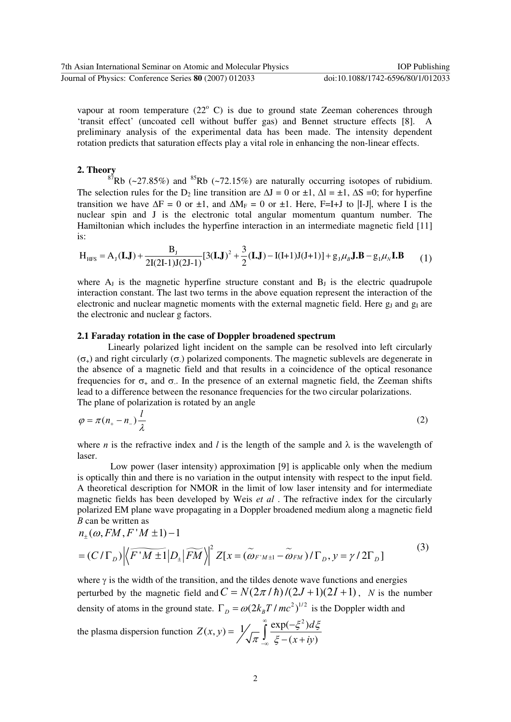vapour at room temperature  $(22^{\circ}$  C) is due to ground state Zeeman coherences through 'transit effect' (uncoated cell without buffer gas) and Bennet structure effects [8]. A preliminary analysis of the experimental data has been made. The intensity dependent rotation predicts that saturation effects play a vital role in enhancing the non-linear effects.

## **2. Theory**

 $87Rb$  (~27.85%) and  $85Rb$  (~72.15%) are naturally occurring isotopes of rubidium. The selection rules for the D<sub>2</sub> line transition are  $\Delta J = 0$  or  $\pm 1$ ,  $\Delta l = \pm 1$ ,  $\Delta S = 0$ ; for hyperfine transition we have  $\Delta F = 0$  or ±1, and  $\Delta M_F = 0$  or ±1. Here, F=I+J to |I-J|, where I is the nuclear spin and J is the electronic total angular momentum quantum number. The Hamiltonian which includes the hyperfine interaction in an intermediate magnetic field [11] is:

$$
H_{HFS} = A_J(\mathbf{I}.\mathbf{J}) + \frac{B_J}{2I(2I-1)J(2J-1)} [3(\mathbf{I}.\mathbf{J})^2 + \frac{3}{2}(\mathbf{I}.\mathbf{J}) - I(I+1)J(J+1)] + g_J \mu_B \mathbf{J}.\mathbf{B} - g_I \mu_N \mathbf{I}.\mathbf{B}
$$
 (1)

where  $A_J$  is the magnetic hyperfine structure constant and  $B_J$  is the electric quadrupole interaction constant. The last two terms in the above equation represent the interaction of the electronic and nuclear magnetic moments with the external magnetic field. Here  $g_J$  and  $g_I$  are the electronic and nuclear g factors.

#### **2.1 Faraday rotation in the case of Doppler broadened spectrum**

Linearly polarized light incident on the sample can be resolved into left circularly  $(\sigma<sub>+</sub>)$  and right circularly  $(\sigma<sub>-</sub>)$  polarized components. The magnetic sublevels are degenerate in the absence of a magnetic field and that results in a coincidence of the optical resonance frequencies for  $\sigma_{+}$  and  $\sigma_{-}$ . In the presence of an external magnetic field, the Zeeman shifts lead to a difference between the resonance frequencies for the two circular polarizations. The plane of polarization is rotated by an angle

$$
\varphi = \pi (n_+ - n_-) \frac{l}{\lambda} \tag{2}
$$

where *n* is the refractive index and *l* is the length of the sample and  $\lambda$  is the wavelength of laser.

 Low power (laser intensity) approximation [9] is applicable only when the medium is optically thin and there is no variation in the output intensity with respect to the input field. A theoretical description for NMOR in the limit of low laser intensity and for intermediate magnetic fields has been developed by Weis *et al* . The refractive index for the circularly polarized EM plane wave propagating in a Doppler broadened medium along a magnetic field *B* can be written as

$$
n_{\pm}(\omega, FM, F'M \pm 1) - 1
$$
  
=  $(C/\Gamma_D) \Big| \Big\langle \overline{F'M \pm 1} | D_{\pm} | \overline{FM} \Big\rangle \Big|^2 Z[x = (\widetilde{\omega}_{F'M \pm 1} - \widetilde{\omega}_{FM}) / \Gamma_D, y = \gamma / 2 \Gamma_D]$  (3)

where  $\gamma$  is the width of the transition, and the tildes denote wave functions and energies perturbed by the magnetic field and  $C = N(2\pi / \hbar) / (2J + 1)(2I + 1)$ , *N* is the number density of atoms in the ground state.  $\Gamma_D = \omega (2k_B T / mc^2)^{1/2}$  is the Doppler width and

the plasma dispersion function  $f(x, y) = \frac{1}{\sqrt{2}} \int_{0}^{\infty} \frac{\exp(-\xi^2)}{2\xi^2}$  $(x+iy)$  $Z(x, y) = \frac{1}{\sqrt{2\pi}} \int_{0}^{\infty} \frac{\exp(-\xi^2)}{2\xi^2} d\xi$ *x iy*  $(\xi^2)d\xi$  $\pi$   $\frac{J}{20}$   $\xi$ ∞ −∞  $=\frac{1}{\sqrt{\pi}}\int_{-\infty}^{\infty}\frac{\exp(-\xi^2)}{\xi-(x+\xi)}$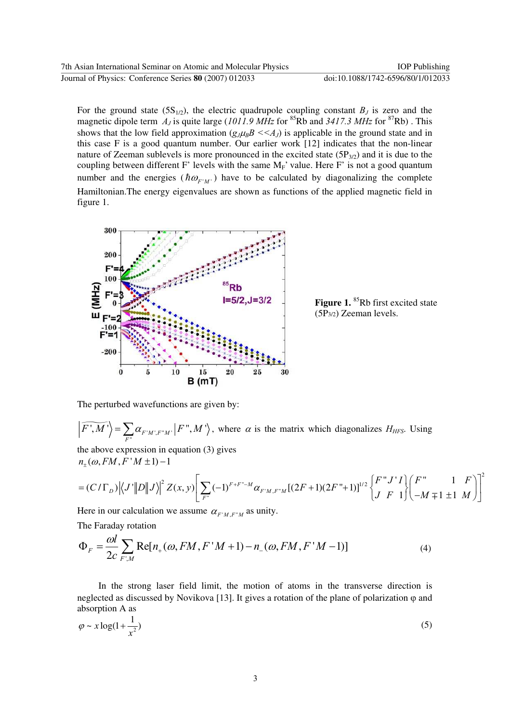For the ground state  $(5S_{1/2})$ , the electric quadrupole coupling constant  $B_J$  is zero and the magnetic dipole term  $A_J$  is quite large (1011.9 MHz for <sup>85</sup>Rb and 3417.3 MHz for <sup>87</sup>Rb). This shows that the low field approximation  $(g_J\mu_B B \ll A_J)$  is applicable in the ground state and in this case F is a good quantum number. Our earlier work [12] indicates that the non-linear nature of Zeeman sublevels is more pronounced in the excited state  $(5P_{3/2})$  and it is due to the coupling between different F' levels with the same  $M_F$ ' value. Here F' is not a good quantum number and the energies ( $\hbar \omega_{F/M}$ ) have to be calculated by diagonalizing the complete Hamiltonian.The energy eigenvalues are shown as functions of the applied magnetic field in figure 1.



Figure 1. <sup>85</sup>Rb first excited state (5P3/2) Zeeman levels.

The perturbed wavefunctions are given by:

 $\widetilde{F',M'}\Bigl>=\sum_{F''} \alpha_{F'M',F''M'}\Bigl|F'',M'\Bigr|$  $\widetilde{F'(M')} = \sum_{F''} \alpha_{F'M',F''M'} |F'', M' \rangle$ , where  $\alpha$  is the matrix which diagonalizes  $H_{HFS}$ . Using the above expression in equation (3) gives

 $n_{\pm}(\omega, FM, F'M \pm 1) - 1$ 

$$
= (C/\Gamma_D) \Big| \Big\langle J' \Big| D \Big| J \Big\rangle \Big|^2 Z(x, y) \Bigg[ \sum_{F^*} (-1)^{F+F^* - M} \alpha_{F^* M, F^* M} [(2F+1)(2F^*+1)]^{1/2} \begin{Bmatrix} F^* J' I \\ J & F \end{Bmatrix} \begin{Bmatrix} F^* & 1 & F \\ -M \mp 1 & \pm 1 & M \end{Bmatrix} \Bigg]^2
$$

Here in our calculation we assume  $\alpha_{F^{\prime}M,F^{\prime}M}$  as unity. The Faraday rotation

$$
\Phi_F = \frac{\omega l}{2c} \sum_{F,M} \text{Re}[n_+(\omega, FM, F'M+1) - n_-(\omega, FM, F'M-1)] \tag{4}
$$

 In the strong laser field limit, the motion of atoms in the transverse direction is neglected as discussed by Novikova [13]. It gives a rotation of the plane of polarization  $\varphi$  and absorption A as

$$
\varphi \sim x \log(1 + \frac{1}{x^2})
$$
\n<sup>(5)</sup>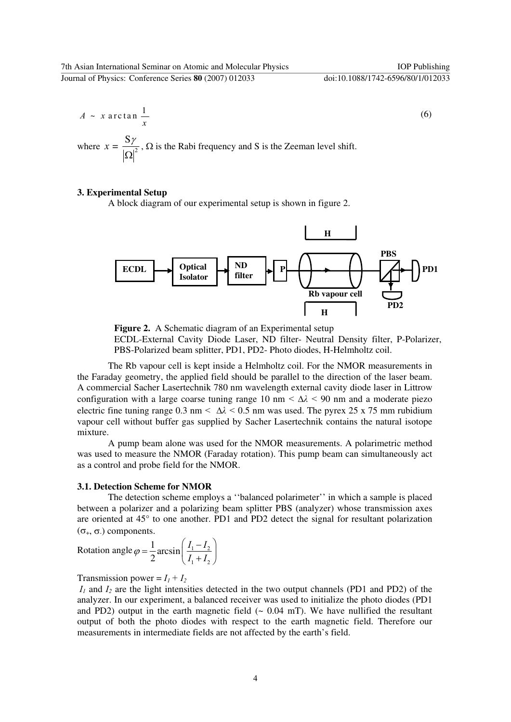$$
A \sim x \arctan \frac{1}{x} \tag{6}
$$

where  $x = \frac{7}{|Q|^2}$  $x = \frac{S\gamma}{|S|}$ Ω ,  $\Omega$  is the Rabi frequency and S is the Zeeman level shift.

#### **3. Experimental Setup**

A block diagram of our experimental setup is shown in figure 2.



**Figure 2.** A Schematic diagram of an Experimental setup ECDL-External Cavity Diode Laser, ND filter- Neutral Density filter, P-Polarizer, PBS-Polarized beam splitter, PD1, PD2- Photo diodes, H-Helmholtz coil.

The Rb vapour cell is kept inside a Helmholtz coil. For the NMOR measurements in the Faraday geometry, the applied field should be parallel to the direction of the laser beam. A commercial Sacher Lasertechnik 780 nm wavelength external cavity diode laser in Littrow configuration with a large coarse tuning range 10 nm  $\langle \Delta \lambda \rangle$  < 90 nm and a moderate piezo electric fine tuning range 0.3 nm  $\langle \Delta \lambda \rangle$  < 0.5 nm was used. The pyrex 25 x 75 mm rubidium vapour cell without buffer gas supplied by Sacher Lasertechnik contains the natural isotope mixture.

 A pump beam alone was used for the NMOR measurements. A polarimetric method was used to measure the NMOR (Faraday rotation). This pump beam can simultaneously act as a control and probe field for the NMOR.

# **3.1. Detection Scheme for NMOR**

The detection scheme employs a ''balanced polarimeter'' in which a sample is placed between a polarizer and a polarizing beam splitter PBS (analyzer) whose transmission axes are oriented at 45° to one another. PD1 and PD2 detect the signal for resultant polarization (σ+, σ-) components.

Rotation angle 
$$
\varphi = \frac{1}{2} \arcsin\left(\frac{I_1 - I_2}{I_1 + I_2}\right)
$$

Transmission power =  $I_1 + I_2$ 

 $I_1$  and  $I_2$  are the light intensities detected in the two output channels (PD1 and PD2) of the analyzer. In our experiment, a balanced receiver was used to initialize the photo diodes (PD1 and PD2) output in the earth magnetic field  $($   $\sim$  0.04 mT). We have nullified the resultant output of both the photo diodes with respect to the earth magnetic field. Therefore our measurements in intermediate fields are not affected by the earth's field.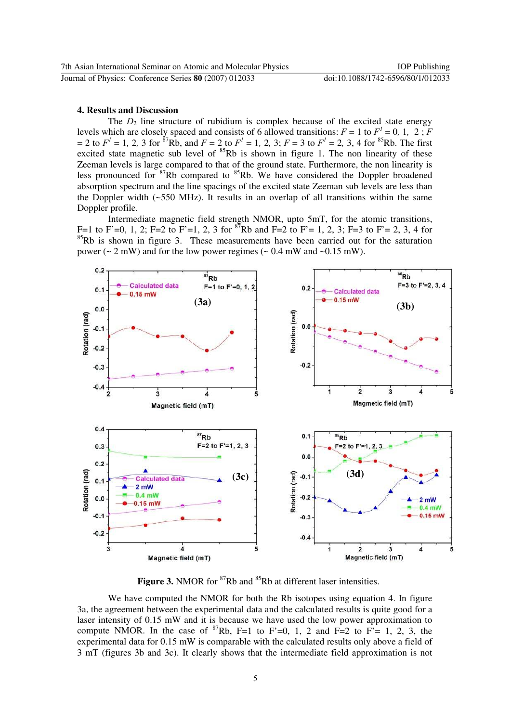#### **4. Results and Discussion**

The  $D_2$  line structure of rubidium is complex because of the excited state energy levels which are closely spaced and consists of 6 allowed transitions:  $F = 1$  to  $F<sup>1</sup> = 0$ , 1, 2;  $F<sup>1</sup> = 0$  $= 2$  to  $F<sup>1</sup> = 1$ , 2, 3 for <sup>87</sup>Rb, and  $F = 2$  to  $F<sup>1</sup> = 1$ , 2, 3;  $F = 3$  to  $F<sup>1</sup> = 2$ , 3, 4 for <sup>85</sup>Rb. The first excited state magnetic sub level of  $85Rb$  is shown in figure 1. The non linearity of these Zeeman levels is large compared to that of the ground state. Furthermore, the non linearity is less pronounced for  ${}^{87}Rb$  compared to  ${}^{85}Rb$ . We have considered the Doppler broadened absorption spectrum and the line spacings of the excited state Zeeman sub levels are less than the Doppler width (~550 MHz). It results in an overlap of all transitions within the same Doppler profile.

Intermediate magnetic field strength NMOR, upto 5mT, for the atomic transitions, F=1 to F'=0, 1, 2; F=2 to F'=1, 2, 3 for  ${}^{87}Rb$  and F=2 to F'= 1, 2, 3; F=3 to F'= 2, 3, 4 for  $85Rb$  is shown in figure 3. These measurements have been carried out for the saturation power ( $\sim 2$  mW) and for the low power regimes ( $\sim 0.4$  mW and  $\sim 0.15$  mW).



**Figure 3.** NMOR for <sup>87</sup>Rb and <sup>85</sup>Rb at different laser intensities.

We have computed the NMOR for both the Rb isotopes using equation 4. In figure 3a, the agreement between the experimental data and the calculated results is quite good for a laser intensity of 0.15 mW and it is because we have used the low power approximation to compute NMOR. In the case of  ${}^{87}Rb$ , F=1 to F'=0, 1, 2 and F=2 to F'= 1, 2, 3, the experimental data for 0.15 mW is comparable with the calculated results only above a field of 3 mT (figures 3b and 3c). It clearly shows that the intermediate field approximation is not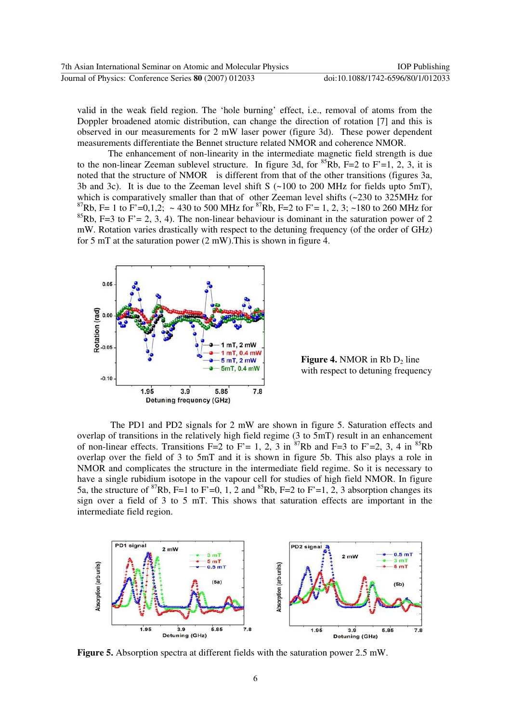valid in the weak field region. The 'hole burning' effect, i.e., removal of atoms from the Doppler broadened atomic distribution, can change the direction of rotation [7] and this is observed in our measurements for 2 mW laser power (figure 3d). These power dependent measurements differentiate the Bennet structure related NMOR and coherence NMOR.

The enhancement of non-linearity in the intermediate magnetic field strength is due to the non-linear Zeeman sublevel structure. In figure 3d, for  ${}^{85}Rb$ , F=2 to F'=1, 2, 3, it is noted that the structure of NMOR is different from that of the other transitions (figures 3a, 3b and 3c). It is due to the Zeeman level shift S  $(-100$  to 200 MHz for fields upto 5mT), which is comparatively smaller than that of other Zeeman level shifts (~230 to 325MHz for 87Rb, F= 1 to F'=0,1,2; ~ 430 to 500 MHz for <sup>87</sup>Rb, F=2 to F'= 1, 2, 3; ~180 to 260 MHz for <sup>85</sup>Rb, F=3 to F' = 2, 3, 4). The non-linear behaviour is dominant in the saturation power of 2 mW. Rotation varies drastically with respect to the detuning frequency (of the order of GHz) for 5 mT at the saturation power (2 mW).This is shown in figure 4.



**Figure 4.** NMOR in Rb  $D_2$  line with respect to detuning frequency

The PD1 and PD2 signals for 2 mW are shown in figure 5. Saturation effects and overlap of transitions in the relatively high field regime (3 to 5mT) result in an enhancement of non-linear effects. Transitions F=2 to F'= 1, 2, 3 in  ${}^{87}Rb$  and F=3 to F'=2, 3, 4 in  ${}^{85}Rb$ overlap over the field of 3 to 5mT and it is shown in figure 5b. This also plays a role in NMOR and complicates the structure in the intermediate field regime. So it is necessary to have a single rubidium isotope in the vapour cell for studies of high field NMOR. In figure 5a, the structure of <sup>87</sup>Rb, F=1 to F'=0, 1, 2 and <sup>85</sup>Rb, F=2 to F'=1, 2, 3 absorption changes its sign over a field of 3 to 5 mT. This shows that saturation effects are important in the intermediate field region.



**Figure 5.** Absorption spectra at different fields with the saturation power 2.5 mW.